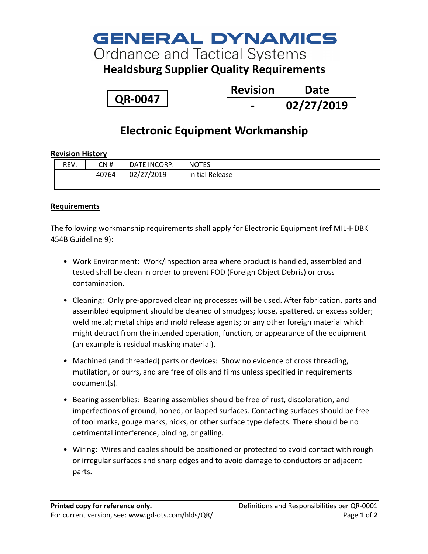# **GENERAL DYNAMICS**

# **Ordnance and Tactical Systems**

### **Healdsburg Supplier Quality Requirements**

**QR-0047**

| <b>Revision</b> | Date       |
|-----------------|------------|
|                 | 02/27/2019 |

## **Electronic Equipment Workmanship**

### **Revision History**

| REV.                         | CN #  | DATE INCORP. | <b>NOTES</b>           |
|------------------------------|-------|--------------|------------------------|
| $\qquad \qquad \blacksquare$ | 40764 | 02/27/2019   | <b>Initial Release</b> |
|                              |       |              |                        |

### **Requirements**

The following workmanship requirements shall apply for Electronic Equipment (ref MIL-HDBK 454B Guideline 9):

- Work Environment: Work/inspection area where product is handled, assembled and tested shall be clean in order to prevent FOD (Foreign Object Debris) or cross contamination.
- Cleaning: Only pre-approved cleaning processes will be used. After fabrication, parts and assembled equipment should be cleaned of smudges; loose, spattered, or excess solder; weld metal; metal chips and mold release agents; or any other foreign material which might detract from the intended operation, function, or appearance of the equipment (an example is residual masking material).
- Machined (and threaded) parts or devices: Show no evidence of cross threading, mutilation, or burrs, and are free of oils and films unless specified in requirements document(s).
- Bearing assemblies: Bearing assemblies should be free of rust, discoloration, and imperfections of ground, honed, or lapped surfaces. Contacting surfaces should be free of tool marks, gouge marks, nicks, or other surface type defects. There should be no detrimental interference, binding, or galling.
- Wiring: Wires and cables should be positioned or protected to avoid contact with rough or irregular surfaces and sharp edges and to avoid damage to conductors or adjacent parts.